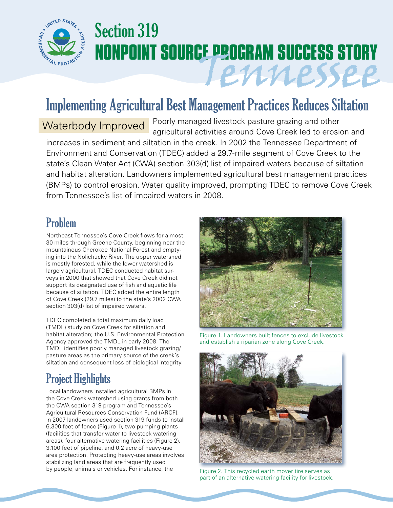

# Section 319 **NONPOINT SOURCE PROGRAM SUCCESS STORY** Tennessee

## Implementing Agricultural Best Management Practices Reduces Siltation

Waterbody Improved Poorly managed livestock pasture grazing and other agricultural activities around Cove Creek led to erosion and increases in sediment and siltation in the creek. In 2002 the Tennessee Department of Environment and Conservation (TDEC) added a 29.7-mile segment of Cove Creek to the state's Clean Water Act (CWA) section 303(d) list of impaired waters because of siltation and habitat alteration. Landowners implemented agricultural best management practices (BMPs) to control erosion. Water quality improved, prompting TDEC to remove Cove Creek from Tennessee's list of impaired waters in 2008.

#### Problem

Northeast Tennessee's Cove Creek flows for almost 30 miles through Greene County, beginning near the mountainous Cherokee National Forest and emptying into the Nolichucky River. The upper watershed is mostly forested, while the lower watershed is largely agricultural. TDEC conducted habitat surveys in 2000 that showed that Cove Creek did not support its designated use of fish and aquatic life because of siltation. TDEC added the entire length of Cove Creek (29.7 miles) to the state's 2002 CWA section 303(d) list of impaired waters.

TDEC completed a total maximum daily load (TMDL) study on Cove Creek for siltation and habitat alteration; the U.S. Environmental Protection Agency approved the TMDL in early 2008. The TMDL identifies poorly managed livestock grazing/ pasture areas as the primary source of the creek's siltation and consequent loss of biological integrity.

### Project Highlights

Local landowners installed agricultural BMPs in the Cove Creek watershed using grants from both the CWA section 319 program and Tennessee's Agricultural Resources Conservation Fund (ARCF). In 2007 landowners used section 319 funds to install 6,300 feet of fence (Figure 1), two pumping plants (facilities that transfer water to livestock watering areas), four alternative watering facilities (Figure 2), 3,100 feet of pipeline, and 0.2 acre of heavy-use area protection. Protecting heavy-use areas involves stabilizing land areas that are frequently used by people, animals or vehicles. For instance, the



Figure 1. Landowners built fences to exclude livestock and establish a riparian zone along Cove Creek.



Figure 2. This recycled earth mover tire serves as part of an alternative watering facility for livestock.